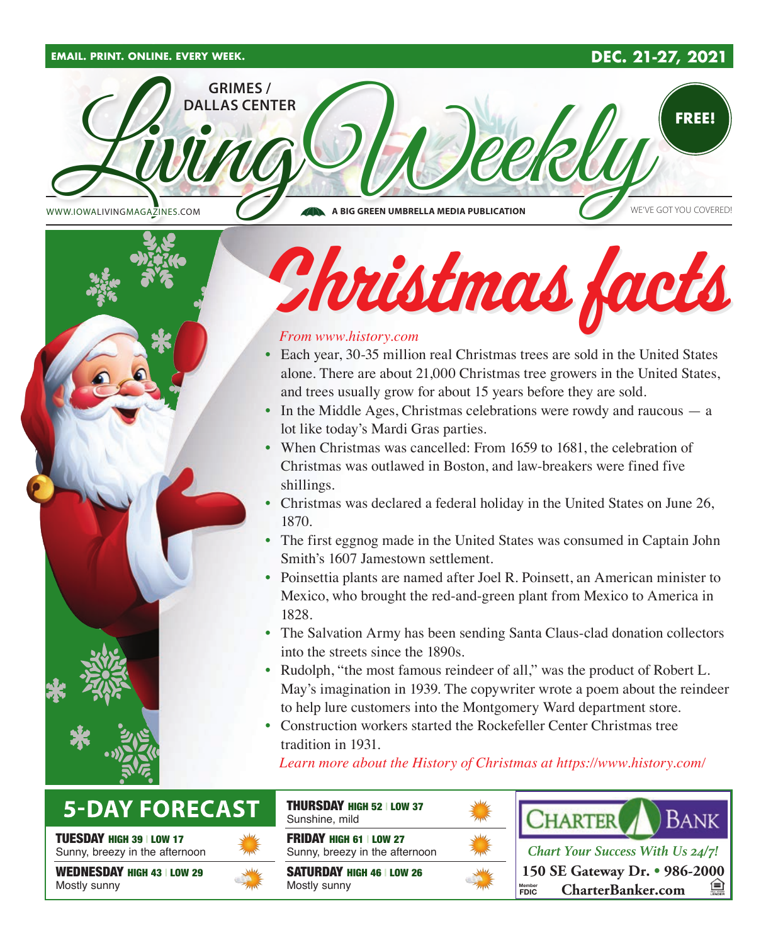#### **EMAIL. PRINT. ONLINE. EVERY WEEK. DEC. 21-27, 2021**







#### *From www.history.com*

- Each year, 30-35 million real Christmas trees are sold in the United States alone. There are about 21,000 Christmas tree growers in the United States, and trees usually grow for about 15 years before they are sold.
- In the Middle Ages, Christmas celebrations were rowdy and raucous a lot like today's Mardi Gras parties.
- When Christmas was cancelled: From 1659 to 1681, the celebration of Christmas was outlawed in Boston, and law-breakers were fined five shillings.
- Christmas was declared a federal holiday in the United States on June 26, 1870.
- The first eggnog made in the United States was consumed in Captain John Smith's 1607 Jamestown settlement.
- Poinsettia plants are named after Joel R. Poinsett, an American minister to Mexico, who brought the red-and-green plant from Mexico to America in 1828.
- The Salvation Army has been sending Santa Claus-clad donation collectors into the streets since the 1890s.
- Rudolph, "the most famous reindeer of all," was the product of Robert L. May's imagination in 1939. The copywriter wrote a poem about the reindeer to help lure customers into the Montgomery Ward department store.
- Construction workers started the Rockefeller Center Christmas tree tradition in 1931.

*Learn more about the History of Christmas at https://www.history.com/*

## **5-DAY FORECAST**

TUESDAY HIGH 39 | LOW 17

Sunny, breezy in the afternoon

WEDNESDAY HIGH 43 | LOW 29 Mostly sunny



THURSDAY HIGH 52 | LOW 37 Sunshine, mild

FRIDAY HIGH 61 | LOW 27 Sunny, breezy in the afternoon

SATURDAY HIGH 46 | LOW 26 Mostly sunny





**150 SE Gateway Dr. • 986-2000 CharterBanker.com FDIC** *Chart Your Success With Us 24/7!*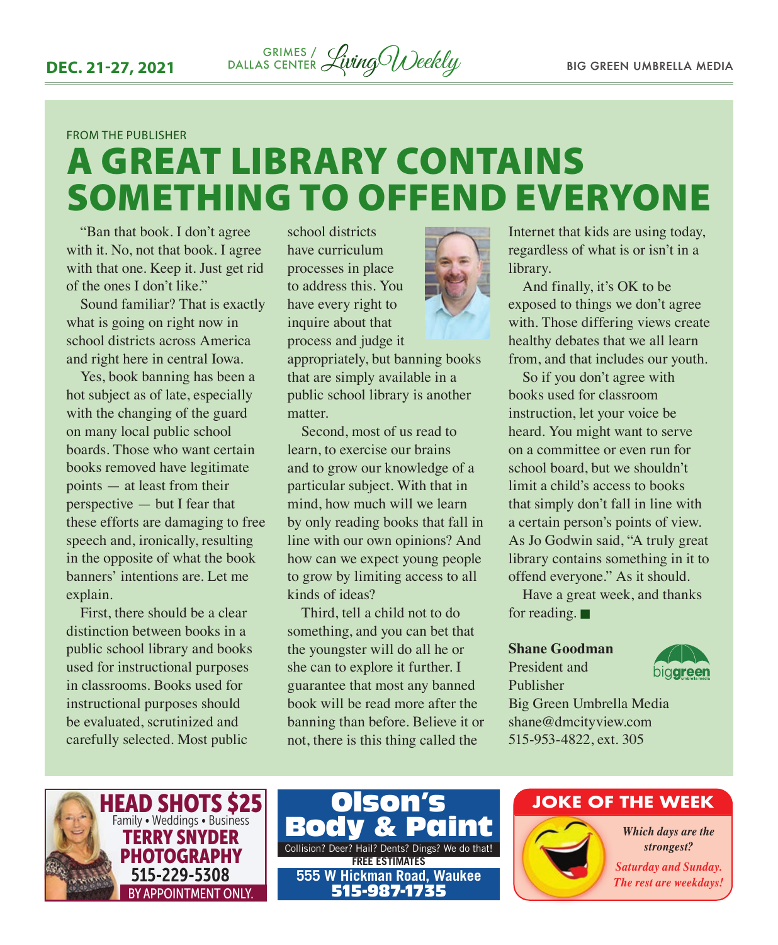#### FROM THE PUBLISHER

# A GREAT LIBRARY CONTAINS SOMETHING TO OFFEND EVERYONE

"Ban that book. I don't agree with it. No, not that book. I agree with that one. Keep it. Just get rid of the ones I don't like."

Sound familiar? That is exactly what is going on right now in school districts across America and right here in central Iowa.

Yes, book banning has been a hot subject as of late, especially with the changing of the guard on many local public school boards. Those who want certain books removed have legitimate points — at least from their perspective — but I fear that these efforts are damaging to free speech and, ironically, resulting in the opposite of what the book banners' intentions are. Let me explain.

First, there should be a clear distinction between books in a public school library and books used for instructional purposes in classrooms. Books used for instructional purposes should be evaluated, scrutinized and carefully selected. Most public

school districts have curriculum processes in place to address this. You have every right to inquire about that process and judge it

appropriately, but banning books that are simply available in a public school library is another matter.

Second, most of us read to learn, to exercise our brains and to grow our knowledge of a particular subject. With that in mind, how much will we learn by only reading books that fall in line with our own opinions? And how can we expect young people to grow by limiting access to all kinds of ideas?

Third, tell a child not to do something, and you can bet that the youngster will do all he or she can to explore it further. I guarantee that most any banned book will be read more after the banning than before. Believe it or not, there is this thing called the



Internet that kids are using today, regardless of what is or isn't in a library.

And finally, it's OK to be exposed to things we don't agree with. Those differing views create healthy debates that we all learn from, and that includes our youth.

So if you don't agree with books used for classroom instruction, let your voice be heard. You might want to serve on a committee or even run for school board, but we shouldn't limit a child's access to books that simply don't fall in line with a certain person's points of view. As Jo Godwin said, "A truly great library contains something in it to offend everyone." As it should.

Have a great week, and thanks for reading.  $\blacksquare$ 

#### **Shane Goodman**

President and Publisher



Big Green Umbrella Media shane@dmcityview.com 515-953-4822, ext. 305





#### **JOKE OF THE WEEK**

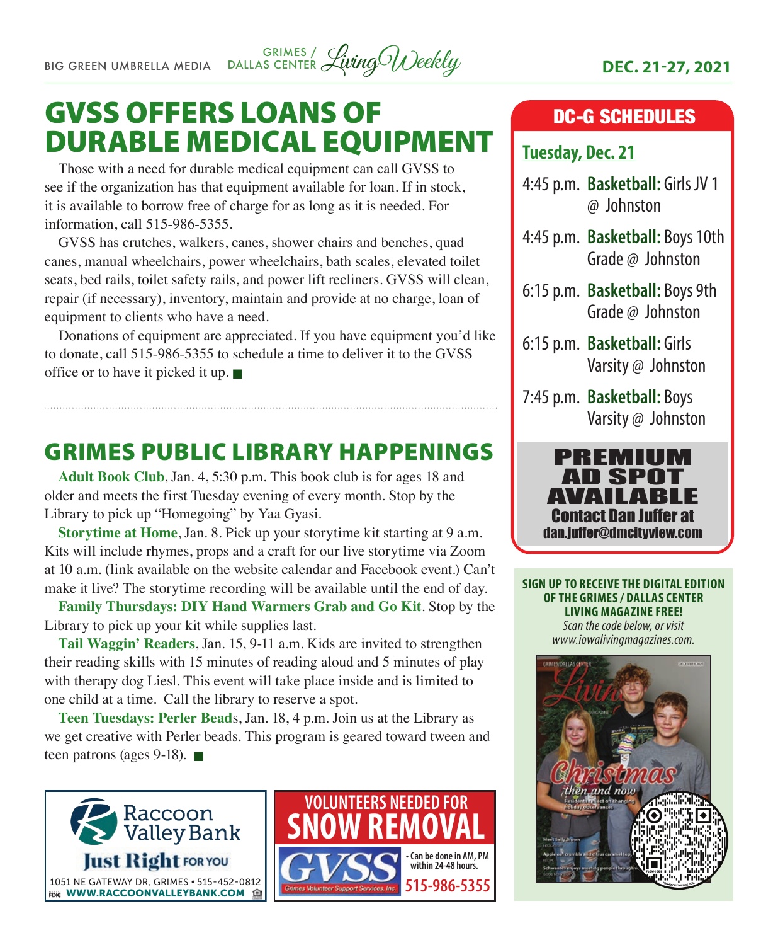# GVSS OFFERS LOANS OF DURABLE MEDICAL EQUIPMENT

Those with a need for durable medical equipment can call GVSS to see if the organization has that equipment available for loan. If in stock, it is available to borrow free of charge for as long as it is needed. For information, call 515-986-5355.

GVSS has crutches, walkers, canes, shower chairs and benches, quad canes, manual wheelchairs, power wheelchairs, bath scales, elevated toilet seats, bed rails, toilet safety rails, and power lift recliners. GVSS will clean, repair (if necessary), inventory, maintain and provide at no charge, loan of equipment to clients who have a need.

Donations of equipment are appreciated. If you have equipment you'd like to donate, call 515-986-5355 to schedule a time to deliver it to the GVSS office or to have it picked it up.  $\blacksquare$ 

## GRIMES PUBLIC LIBRARY HAPPENINGS

**Adult Book Club**, Jan. 4, 5:30 p.m. This book club is for ages 18 and older and meets the first Tuesday evening of every month. Stop by the Library to pick up "Homegoing" by Yaa Gyasi.

**Storytime at Home**, Jan. 8. Pick up your storytime kit starting at 9 a.m. Kits will include rhymes, props and a craft for our live storytime via Zoom at 10 a.m. (link available on the website calendar and Facebook event.) Can't make it live? The storytime recording will be available until the end of day.

**Family Thursdays: DIY Hand Warmers Grab and Go Kit**. Stop by the Library to pick up your kit while supplies last.

**Tail Waggin' Readers**, Jan. 15, 9-11 a.m. Kids are invited to strengthen their reading skills with 15 minutes of reading aloud and 5 minutes of play with therapy dog Liesl. This event will take place inside and is limited to one child at a time. Call the library to reserve a spot.

**Teen Tuesdays: Perler Bead**s, Jan. 18, 4 p.m. Join us at the Library as we get creative with Perler beads. This program is geared toward tween and teen patrons (ages  $9-18$ ).





### DC-G SCHEDULES

### **Tuesday, Dec. 21**

- 4:45 p.m. **Basketball:** Girls JV 1 @ Johnston
- 4:45 p.m. **Basketball:** Boys 10th Grade @ Johnston
- 6:15 p.m. **Basketball:** Boys 9th Grade @ Johnston
- 6:15 p.m. **Basketball:** Girls Varsity @ Johnston
- 7:45 p.m. **Basketball:** Boys Varsity @ Johnston



**SIGN UP TO RECEIVE THE DIGITAL EDITION OF THE GRIMES / DALLAS CENTER LIVING MAGAZINE FREE!**  *Scan the code below, or visit* 

*www.iowalivingmagazines.com.*